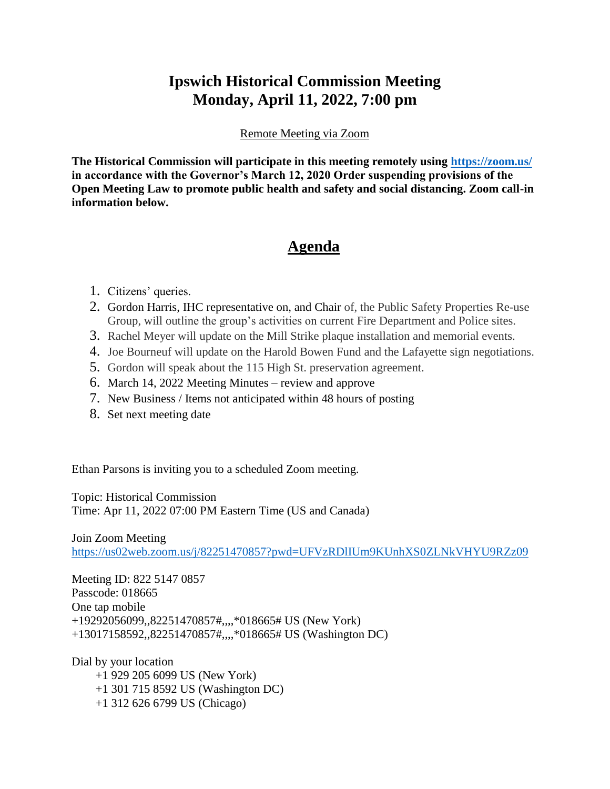## **Ipswich Historical Commission Meeting Monday, April 11, 2022, 7:00 pm**

## Remote Meeting via Zoom

**The Historical Commission will participate in this meeting remotely using<https://zoom.us/> in accordance with the Governor's March 12, 2020 Order suspending provisions of the Open Meeting Law to promote public health and safety and social distancing. Zoom call-in information below.**

## **Agenda**

- 1. Citizens' queries.
- 2. Gordon Harris, IHC representative on, and Chair of, the Public Safety Properties Re-use Group, will outline the group's activities on current Fire Department and Police sites.
- 3. Rachel Meyer will update on the Mill Strike plaque installation and memorial events.
- 4. Joe Bourneuf will update on the Harold Bowen Fund and the Lafayette sign negotiations.
- 5. Gordon will speak about the 115 High St. preservation agreement.
- 6. March 14, 2022 Meeting Minutes review and approve
- 7. New Business / Items not anticipated within 48 hours of posting
- 8. Set next meeting date

Ethan Parsons is inviting you to a scheduled Zoom meeting.

Topic: Historical Commission Time: Apr 11, 2022 07:00 PM Eastern Time (US and Canada)

Join Zoom Meeting

<https://us02web.zoom.us/j/82251470857?pwd=UFVzRDlIUm9KUnhXS0ZLNkVHYU9RZz09>

Meeting ID: 822 5147 0857 Passcode: 018665 One tap mobile +19292056099,,82251470857#,,,,\*018665# US (New York) +13017158592,,82251470857#,,,,\*018665# US (Washington DC)

Dial by your location +1 929 205 6099 US (New York) +1 301 715 8592 US (Washington DC) +1 312 626 6799 US (Chicago)